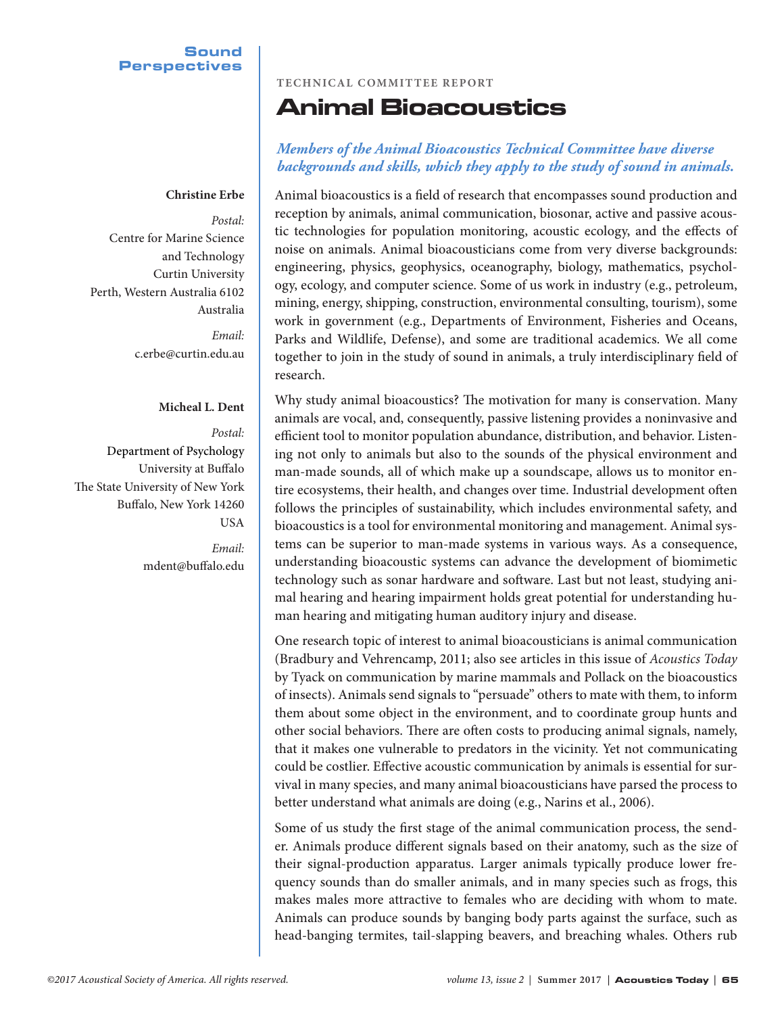# **Sound Perspectives**

### **Christine Erbe**

*Postal:* Centre for Marine Science and Technology Curtin University Perth, Western Australia 6102 Australia

> *Email:* c.erbe@curtin.edu.au

### **Micheal L. Dent**

*Postal:* Department of Psychology University at Buffalo The State University of New York Buffalo, New York 14260 USA

> *Email:* mdent@buffalo.edu

## **TECHNICAL COMMITTEE REPORT**

# Animal Bioacoustics

# *Members of the Animal Bioacoustics Technical Committee have diverse backgrounds and skills, which they apply to the study of sound in animals.*

Animal bioacoustics is a field of research that encompasses sound production and reception by animals, animal communication, biosonar, active and passive acoustic technologies for population monitoring, acoustic ecology, and the effects of noise on animals. Animal bioacousticians come from very diverse backgrounds: engineering, physics, geophysics, oceanography, biology, mathematics, psychology, ecology, and computer science. Some of us work in industry (e.g., petroleum, mining, energy, shipping, construction, environmental consulting, tourism), some work in government (e.g., Departments of Environment, Fisheries and Oceans, Parks and Wildlife, Defense), and some are traditional academics. We all come together to join in the study of sound in animals, a truly interdisciplinary field of research.

Why study animal bioacoustics? The motivation for many is conservation. Many animals are vocal, and, consequently, passive listening provides a noninvasive and efficient tool to monitor population abundance, distribution, and behavior. Listening not only to animals but also to the sounds of the physical environment and man-made sounds, all of which make up a soundscape, allows us to monitor entire ecosystems, their health, and changes over time. Industrial development often follows the principles of sustainability, which includes environmental safety, and bioacoustics is a tool for environmental monitoring and management. Animal systems can be superior to man-made systems in various ways. As a consequence, understanding bioacoustic systems can advance the development of biomimetic technology such as sonar hardware and software. Last but not least, studying animal hearing and hearing impairment holds great potential for understanding human hearing and mitigating human auditory injury and disease.

One research topic of interest to animal bioacousticians is animal communication (Bradbury and Vehrencamp, 2011; also see articles in this issue of *Acoustics Today* by Tyack on communication by marine mammals and Pollack on the bioacoustics of insects). Animals send signals to "persuade" others to mate with them, to inform them about some object in the environment, and to coordinate group hunts and other social behaviors. There are often costs to producing animal signals, namely, that it makes one vulnerable to predators in the vicinity. Yet not communicating could be costlier. Effective acoustic communication by animals is essential for survival in many species, and many animal bioacousticians have parsed the process to better understand what animals are doing (e.g., Narins et al., 2006).

Some of us study the first stage of the animal communication process, the sender. Animals produce different signals based on their anatomy, such as the size of their signal-production apparatus. Larger animals typically produce lower frequency sounds than do smaller animals, and in many species such as frogs, this makes males more attractive to females who are deciding with whom to mate. Animals can produce sounds by banging body parts against the surface, such as head-banging termites, tail-slapping beavers, and breaching whales. Others rub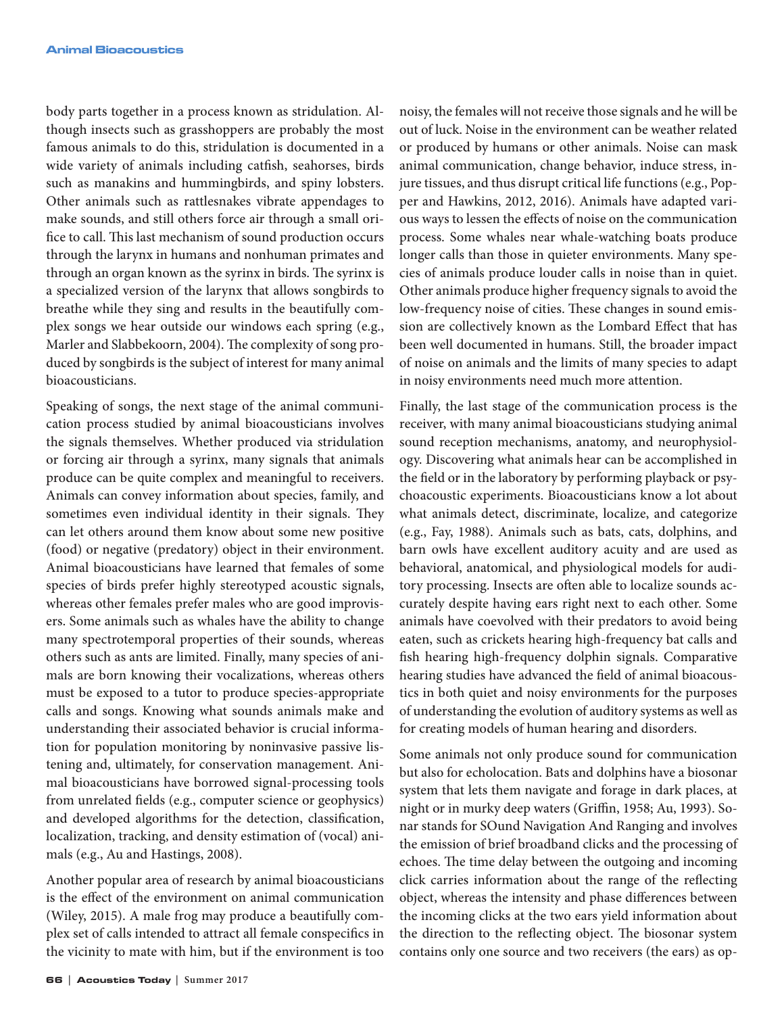body parts together in a process known as stridulation. Although insects such as grasshoppers are probably the most famous animals to do this, stridulation is documented in a wide variety of animals including catfish, seahorses, birds such as manakins and hummingbirds, and spiny lobsters. Other animals such as rattlesnakes vibrate appendages to make sounds, and still others force air through a small orifice to call. This last mechanism of sound production occurs through the larynx in humans and nonhuman primates and through an organ known as the syrinx in birds. The syrinx is a specialized version of the larynx that allows songbirds to breathe while they sing and results in the beautifully complex songs we hear outside our windows each spring (e.g., Marler and Slabbekoorn, 2004). The complexity of song produced by songbirds is the subject of interest for many animal bioacousticians.

Speaking of songs, the next stage of the animal communication process studied by animal bioacousticians involves the signals themselves. Whether produced via stridulation or forcing air through a syrinx, many signals that animals produce can be quite complex and meaningful to receivers. Animals can convey information about species, family, and sometimes even individual identity in their signals. They can let others around them know about some new positive (food) or negative (predatory) object in their environment. Animal bioacousticians have learned that females of some species of birds prefer highly stereotyped acoustic signals, whereas other females prefer males who are good improvisers. Some animals such as whales have the ability to change many spectrotemporal properties of their sounds, whereas others such as ants are limited. Finally, many species of animals are born knowing their vocalizations, whereas others must be exposed to a tutor to produce species-appropriate calls and songs. Knowing what sounds animals make and understanding their associated behavior is crucial information for population monitoring by noninvasive passive listening and, ultimately, for conservation management. Animal bioacousticians have borrowed signal-processing tools from unrelated fields (e.g., computer science or geophysics) and developed algorithms for the detection, classification, localization, tracking, and density estimation of (vocal) animals (e.g., Au and Hastings, 2008).

Another popular area of research by animal bioacousticians is the effect of the environment on animal communication (Wiley, 2015). A male frog may produce a beautifully complex set of calls intended to attract all female conspecifics in the vicinity to mate with him, but if the environment is too

noisy, the females will not receive those signals and he will be out of luck. Noise in the environment can be weather related or produced by humans or other animals. Noise can mask animal communication, change behavior, induce stress, injure tissues, and thus disrupt critical life functions (e.g., Popper and Hawkins, 2012, 2016). Animals have adapted various ways to lessen the effects of noise on the communication process. Some whales near whale-watching boats produce longer calls than those in quieter environments. Many species of animals produce louder calls in noise than in quiet. Other animals produce higher frequency signals to avoid the low-frequency noise of cities. These changes in sound emission are collectively known as the Lombard Effect that has been well documented in humans. Still, the broader impact of noise on animals and the limits of many species to adapt in noisy environments need much more attention.

Finally, the last stage of the communication process is the receiver, with many animal bioacousticians studying animal sound reception mechanisms, anatomy, and neurophysiology. Discovering what animals hear can be accomplished in the field or in the laboratory by performing playback or psychoacoustic experiments. Bioacousticians know a lot about what animals detect, discriminate, localize, and categorize (e.g., Fay, 1988). Animals such as bats, cats, dolphins, and barn owls have excellent auditory acuity and are used as behavioral, anatomical, and physiological models for auditory processing. Insects are often able to localize sounds accurately despite having ears right next to each other. Some animals have coevolved with their predators to avoid being eaten, such as crickets hearing high-frequency bat calls and fish hearing high-frequency dolphin signals. Comparative hearing studies have advanced the field of animal bioacoustics in both quiet and noisy environments for the purposes of understanding the evolution of auditory systems as well as for creating models of human hearing and disorders.

Some animals not only produce sound for communication but also for echolocation. Bats and dolphins have a biosonar system that lets them navigate and forage in dark places, at night or in murky deep waters (Griffin, 1958; Au, 1993). Sonar stands for SOund Navigation And Ranging and involves the emission of brief broadband clicks and the processing of echoes. The time delay between the outgoing and incoming click carries information about the range of the reflecting object, whereas the intensity and phase differences between the incoming clicks at the two ears yield information about the direction to the reflecting object. The biosonar system contains only one source and two receivers (the ears) as op-